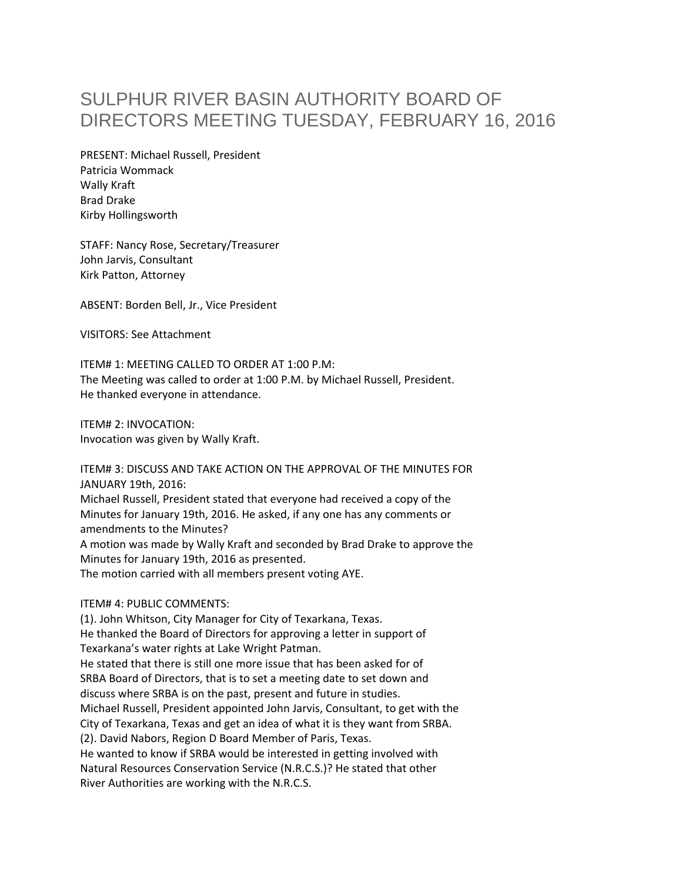## SULPHUR RIVER BASIN AUTHORITY BOARD OF DIRECTORS MEETING TUESDAY, FEBRUARY 16, 2016

PRESENT: Michael Russell, President Patricia Wommack Wally Kraft Brad Drake Kirby Hollingsworth

STAFF: Nancy Rose, Secretary/Treasurer John Jarvis, Consultant Kirk Patton, Attorney

ABSENT: Borden Bell, Jr., Vice President

VISITORS: See Attachment

ITEM# 1: MEETING CALLED TO ORDER AT 1:00 P.M: The Meeting was called to order at 1:00 P.M. by Michael Russell, President. He thanked everyone in attendance.

ITEM# 2: INVOCATION: Invocation was given by Wally Kraft.

ITEM# 3: DISCUSS AND TAKE ACTION ON THE APPROVAL OF THE MINUTES FOR JANUARY 19th, 2016:

Michael Russell, President stated that everyone had received a copy of the Minutes for January 19th, 2016. He asked, if any one has any comments or amendments to the Minutes?

A motion was made by Wally Kraft and seconded by Brad Drake to approve the Minutes for January 19th, 2016 as presented.

The motion carried with all members present voting AYE.

## ITEM# 4: PUBLIC COMMENTS:

(1). John Whitson, City Manager for City of Texarkana, Texas. He thanked the Board of Directors for approving a letter in support of Texarkana's water rights at Lake Wright Patman. He stated that there is still one more issue that has been asked for of SRBA Board of Directors, that is to set a meeting date to set down and discuss where SRBA is on the past, present and future in studies. Michael Russell, President appointed John Jarvis, Consultant, to get with the City of Texarkana, Texas and get an idea of what it is they want from SRBA. (2). David Nabors, Region D Board Member of Paris, Texas. He wanted to know if SRBA would be interested in getting involved with Natural Resources Conservation Service (N.R.C.S.)? He stated that other River Authorities are working with the N.R.C.S.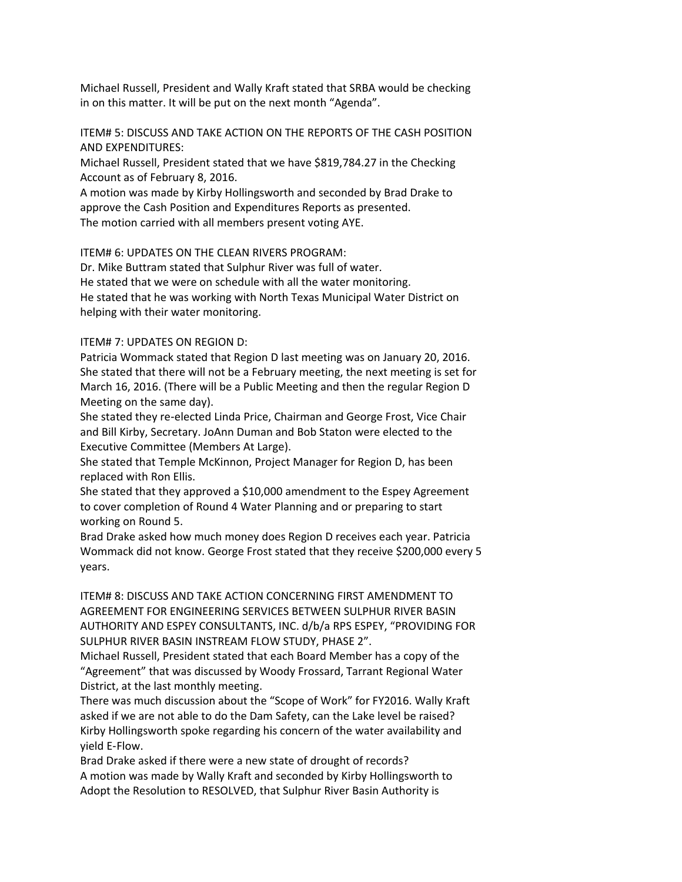Michael Russell, President and Wally Kraft stated that SRBA would be checking in on this matter. It will be put on the next month "Agenda".

ITEM# 5: DISCUSS AND TAKE ACTION ON THE REPORTS OF THE CASH POSITION AND EXPENDITURES:

Michael Russell, President stated that we have \$819,784.27 in the Checking Account as of February 8, 2016.

A motion was made by Kirby Hollingsworth and seconded by Brad Drake to approve the Cash Position and Expenditures Reports as presented. The motion carried with all members present voting AYE.

ITEM# 6: UPDATES ON THE CLEAN RIVERS PROGRAM:

Dr. Mike Buttram stated that Sulphur River was full of water. He stated that we were on schedule with all the water monitoring. He stated that he was working with North Texas Municipal Water District on helping with their water monitoring.

ITEM# 7: UPDATES ON REGION D:

Patricia Wommack stated that Region D last meeting was on January 20, 2016. She stated that there will not be a February meeting, the next meeting is set for March 16, 2016. (There will be a Public Meeting and then the regular Region D Meeting on the same day).

She stated they re‐elected Linda Price, Chairman and George Frost, Vice Chair and Bill Kirby, Secretary. JoAnn Duman and Bob Staton were elected to the Executive Committee (Members At Large).

She stated that Temple McKinnon, Project Manager for Region D, has been replaced with Ron Ellis.

She stated that they approved a \$10,000 amendment to the Espey Agreement to cover completion of Round 4 Water Planning and or preparing to start working on Round 5.

Brad Drake asked how much money does Region D receives each year. Patricia Wommack did not know. George Frost stated that they receive \$200,000 every 5 years.

ITEM# 8: DISCUSS AND TAKE ACTION CONCERNING FIRST AMENDMENT TO AGREEMENT FOR ENGINEERING SERVICES BETWEEN SULPHUR RIVER BASIN AUTHORITY AND ESPEY CONSULTANTS, INC. d/b/a RPS ESPEY, "PROVIDING FOR SULPHUR RIVER BASIN INSTREAM FLOW STUDY, PHASE 2".

Michael Russell, President stated that each Board Member has a copy of the "Agreement" that was discussed by Woody Frossard, Tarrant Regional Water District, at the last monthly meeting.

There was much discussion about the "Scope of Work" for FY2016. Wally Kraft asked if we are not able to do the Dam Safety, can the Lake level be raised? Kirby Hollingsworth spoke regarding his concern of the water availability and yield E‐Flow.

Brad Drake asked if there were a new state of drought of records? A motion was made by Wally Kraft and seconded by Kirby Hollingsworth to Adopt the Resolution to RESOLVED, that Sulphur River Basin Authority is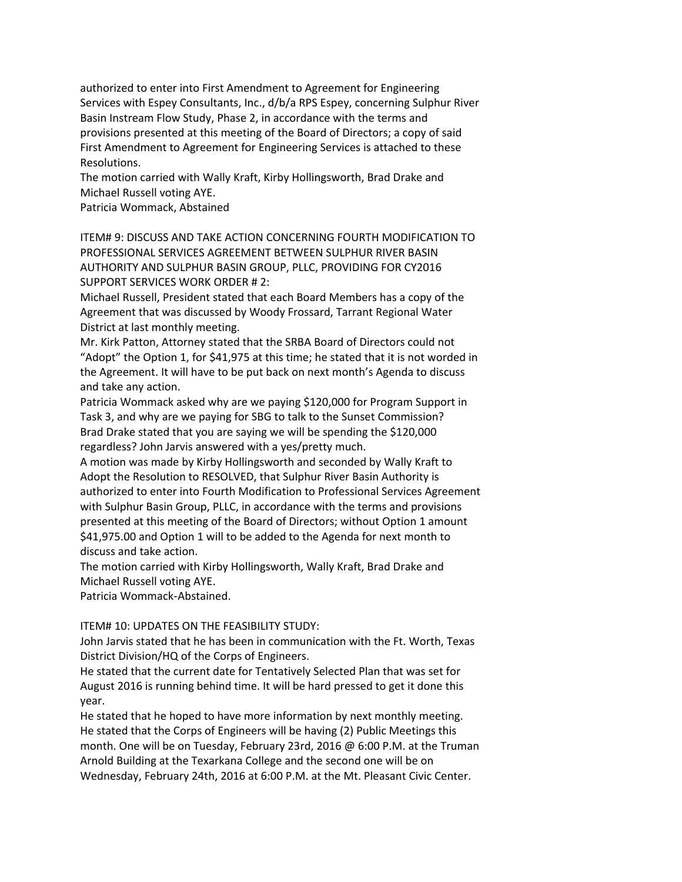authorized to enter into First Amendment to Agreement for Engineering Services with Espey Consultants, Inc., d/b/a RPS Espey, concerning Sulphur River Basin Instream Flow Study, Phase 2, in accordance with the terms and provisions presented at this meeting of the Board of Directors; a copy of said First Amendment to Agreement for Engineering Services is attached to these Resolutions.

The motion carried with Wally Kraft, Kirby Hollingsworth, Brad Drake and Michael Russell voting AYE.

Patricia Wommack, Abstained

ITEM# 9: DISCUSS AND TAKE ACTION CONCERNING FOURTH MODIFICATION TO PROFESSIONAL SERVICES AGREEMENT BETWEEN SULPHUR RIVER BASIN AUTHORITY AND SULPHUR BASIN GROUP, PLLC, PROVIDING FOR CY2016 SUPPORT SERVICES WORK ORDER # 2:

Michael Russell, President stated that each Board Members has a copy of the Agreement that was discussed by Woody Frossard, Tarrant Regional Water District at last monthly meeting.

Mr. Kirk Patton, Attorney stated that the SRBA Board of Directors could not "Adopt" the Option 1, for \$41,975 at this time; he stated that it is not worded in the Agreement. It will have to be put back on next month's Agenda to discuss and take any action.

Patricia Wommack asked why are we paying \$120,000 for Program Support in Task 3, and why are we paying for SBG to talk to the Sunset Commission? Brad Drake stated that you are saying we will be spending the \$120,000 regardless? John Jarvis answered with a yes/pretty much.

A motion was made by Kirby Hollingsworth and seconded by Wally Kraft to Adopt the Resolution to RESOLVED, that Sulphur River Basin Authority is authorized to enter into Fourth Modification to Professional Services Agreement with Sulphur Basin Group, PLLC, in accordance with the terms and provisions presented at this meeting of the Board of Directors; without Option 1 amount \$41,975.00 and Option 1 will to be added to the Agenda for next month to discuss and take action.

The motion carried with Kirby Hollingsworth, Wally Kraft, Brad Drake and Michael Russell voting AYE.

Patricia Wommack‐Abstained.

ITEM# 10: UPDATES ON THE FEASIBILITY STUDY:

John Jarvis stated that he has been in communication with the Ft. Worth, Texas District Division/HQ of the Corps of Engineers.

He stated that the current date for Tentatively Selected Plan that was set for August 2016 is running behind time. It will be hard pressed to get it done this year.

He stated that he hoped to have more information by next monthly meeting. He stated that the Corps of Engineers will be having (2) Public Meetings this month. One will be on Tuesday, February 23rd, 2016 @ 6:00 P.M. at the Truman Arnold Building at the Texarkana College and the second one will be on Wednesday, February 24th, 2016 at 6:00 P.M. at the Mt. Pleasant Civic Center.